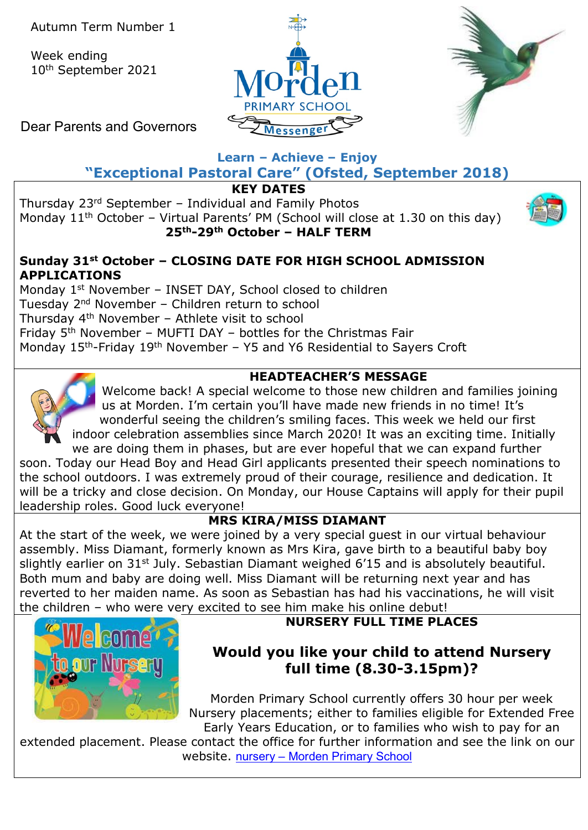Week ending 10th September 2021





Dear Parents and Governors

### **Learn – Achieve – Enjoy "Exceptional Pastoral Care" (Ofsted, September 2018)**

**KEY DATES**

Thursday 23rd September – Individual and Family Photos Monday  $11<sup>th</sup>$  October – Virtual Parents' PM (School will close at 1.30 on this day) **25th-29th October – HALF TERM**



# **Sunday 31st October – CLOSING DATE FOR HIGH SCHOOL ADMISSION APPLICATIONS**

Monday 1<sup>st</sup> November - INSET DAY, School closed to children Tuesday 2nd November – Children return to school Thursday 4th November – Athlete visit to school Friday  $5<sup>th</sup>$  November – MUFTI DAY – bottles for the Christmas Fair Monday 15<sup>th</sup>-Friday 19<sup>th</sup> November – Y5 and Y6 Residential to Sayers Croft

## **HEADTEACHER'S MESSAGE**

Welcome back! A special welcome to those new children and families joining us at Morden. I'm certain you'll have made new friends in no time! It's wonderful seeing the children's smiling faces. This week we held our first indoor celebration assemblies since March 2020! It was an exciting time. Initially we are doing them in phases, but are ever hopeful that we can expand further

soon. Today our Head Boy and Head Girl applicants presented their speech nominations to the school outdoors. I was extremely proud of their courage, resilience and dedication. It will be a tricky and close decision. On Monday, our House Captains will apply for their pupil leadership roles. Good luck everyone!

# **MRS KIRA/MISS DIAMANT**

At the start of the week, we were joined by a very special guest in our virtual behaviour assembly. Miss Diamant, formerly known as Mrs Kira, gave birth to a beautiful baby boy slightly earlier on 31<sup>st</sup> July. Sebastian Diamant weighed 6'15 and is absolutely beautiful. Both mum and baby are doing well. Miss Diamant will be returning next year and has reverted to her maiden name. As soon as Sebastian has had his vaccinations, he will visit the children – who were very excited to see him make his online debut!



# **NURSERY FULL TIME PLACES**

# **Would you like your child to attend Nursery full time (8.30-3.15pm)?**

Morden Primary School currently offers 30 hour per week Nursery placements; either to families eligible for Extended Free Early Years Education, or to families who wish to pay for an

extended placement. Please contact the office for further information and see the link on our website. nursery – [Morden Primary School](https://morden.merton.sch.uk/information/nursery/)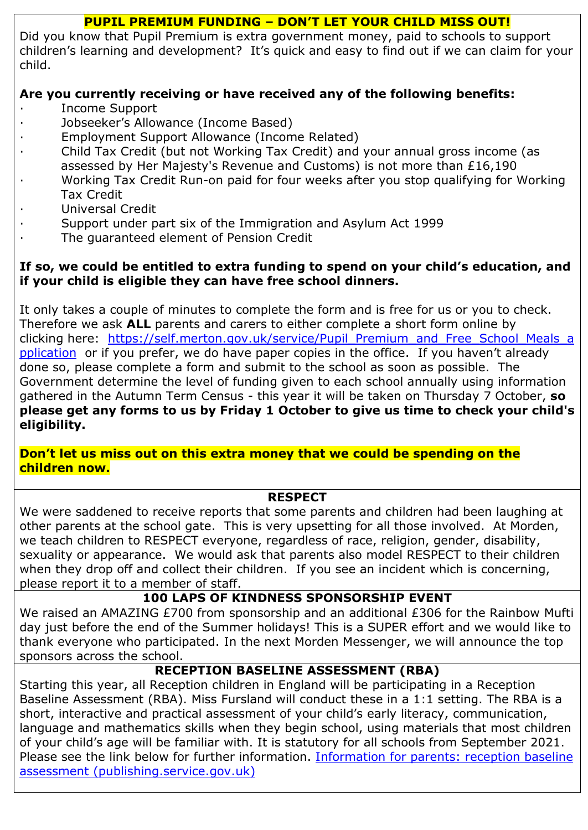#### **PUPIL PREMIUM FUNDING – DON'T LET YOUR CHILD MISS OUT!**

Did you know that Pupil Premium is extra government money, paid to schools to support children's learning and development? It's quick and easy to find out if we can claim for your child.

## **Are you currently receiving or have received any of the following benefits:**

- · Income Support
- · Jobseeker's Allowance (Income Based)
- · Employment Support Allowance (Income Related)
- · Child Tax Credit (but not Working Tax Credit) and your annual gross income (as
- assessed by Her Majesty's Revenue and Customs) is not more than £16,190
- · Working Tax Credit Run-on paid for four weeks after you stop qualifying for Working Tax Credit
- · Universal Credit
- Support under part six of the Immigration and Asylum Act 1999
- The guaranteed element of Pension Credit

## **If so, we could be entitled to extra funding to spend on your child's education, and if your child is eligible they can have free school dinners.**

It only takes a couple of minutes to complete the form and is free for us or you to check. Therefore we ask **ALL** parents and carers to either complete a short form online by clicking here: [https://self.merton.gov.uk/service/Pupil\\_Premium\\_and\\_Free\\_School\\_Meals\\_a](https://self.merton.gov.uk/service/Pupil_Premium_and_Free_School_Meals_application) [pplication](https://self.merton.gov.uk/service/Pupil_Premium_and_Free_School_Meals_application) or if you prefer, we do have paper copies in the office. If you haven't already done so, please complete a form and submit to the school as soon as possible. The Government determine the level of funding given to each school annually using information gathered in the Autumn Term Census - this year it will be taken on Thursday 7 October, **so please get any forms to us by Friday 1 October to give us time to check your child's eligibility.**

**Don't let us miss out on this extra money that we could be spending on the children now.**

### **RESPECT**

We were saddened to receive reports that some parents and children had been laughing at other parents at the school gate. This is very upsetting for all those involved. At Morden, we teach children to RESPECT everyone, regardless of race, religion, gender, disability, sexuality or appearance. We would ask that parents also model RESPECT to their children when they drop off and collect their children. If you see an incident which is concerning, please report it to a member of staff.

## **100 LAPS OF KINDNESS SPONSORSHIP EVENT**

We raised an AMAZING £700 from sponsorship and an additional £306 for the Rainbow Mufti day just before the end of the Summer holidays! This is a SUPER effort and we would like to thank everyone who participated. In the next Morden Messenger, we will announce the top sponsors across the school.

## **RECEPTION BASELINE ASSESSMENT (RBA)**

Starting this year, all Reception children in England will be participating in a Reception Baseline Assessment (RBA). Miss Fursland will conduct these in a 1:1 setting. The RBA is a short, interactive and practical assessment of your child's early literacy, communication, language and mathematics skills when they begin school, using materials that most children of your child's age will be familiar with. It is statutory for all schools from September 2021. Please see the link below for further information. [Information for parents: reception baseline](https://assets.publishing.service.gov.uk/government/uploads/system/uploads/attachment_data/file/1004560/2021_Information_for_parents_reception_baseline_assessment.pdf)  [assessment \(publishing.service.gov.uk\)](https://assets.publishing.service.gov.uk/government/uploads/system/uploads/attachment_data/file/1004560/2021_Information_for_parents_reception_baseline_assessment.pdf)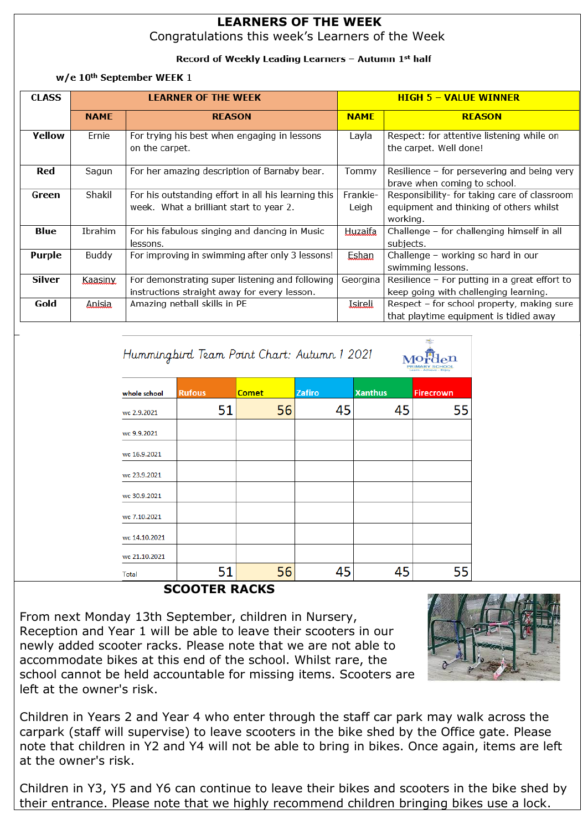#### **LEARNERS OF THE WEEK** Congratulations this week's Learners of the Week

#### Record of Weekly Leading Learners - Autumn 1st half

#### w/e 10<sup>th</sup> September WEEK 1

| <b>CLASS</b>  | <b>LEARNER OF THE WEEK</b> |                                                                                                 |                   | <b>HIGH 5 - VALUE WINNER</b>                                                                        |  |  |
|---------------|----------------------------|-------------------------------------------------------------------------------------------------|-------------------|-----------------------------------------------------------------------------------------------------|--|--|
|               | <b>NAME</b>                | <b>REASON</b>                                                                                   | <b>NAME</b>       | <b>REASON</b>                                                                                       |  |  |
| <b>Yellow</b> | Ernie                      | For trying his best when engaging in lessons<br>on the carpet.                                  |                   | Respect: for attentive listening while on<br>the carpet. Well done!                                 |  |  |
| Red           | Sagun                      | For her amazing description of Barnaby bear.                                                    | Tommy             | Resilience - for persevering and being very<br>brave when coming to school.                         |  |  |
| Green         | Shakil                     | For his outstanding effort in all his learning this<br>week. What a brilliant start to year 2.  | Frankie-<br>Leigh | Responsibility- for taking care of classroom<br>equipment and thinking of others whilst<br>working. |  |  |
| Blue          | Ibrahim                    | For his fabulous singing and dancing in Music<br>lessons.                                       | Huzaifa           | Challenge - for challenging himself in all<br>subjects.                                             |  |  |
| Purple        | Buddy                      | For improving in swimming after only 3 lessons!                                                 | Eshan             | Challenge - working so hard in our<br>swimming lessons.                                             |  |  |
| <b>Silver</b> | Kaasiny                    | For demonstrating super listening and following<br>instructions straight away for every lesson. | Georgina          | Resilience - For putting in a great effort to<br>keep going with challenging learning.              |  |  |
| Gold          | <u>Anisia</u>              | Amazing netball skills in PE                                                                    | Isireli           | Respect - for school property, making sure<br>that playtime equipment is tidied away                |  |  |

| Hummingbird Team Point Chart: Autumn 1 2021 |  |  |
|---------------------------------------------|--|--|
|                                             |  |  |

| whole school  | <b>Rufous</b> | <b>Comet</b> | <b>Zafiro</b> | <b>Xanthus</b> | <b>Firecrown</b> |
|---------------|---------------|--------------|---------------|----------------|------------------|
| wc 2.9.2021   | 51            | 56           | 45            | 45             | 55               |
| wc 9.9.2021   |               |              |               |                |                  |
| wc 16.9.2021  |               |              |               |                |                  |
| wc 23.9.2021  |               |              |               |                |                  |
| wc 30.9.2021  |               |              |               |                |                  |
| wc 7.10.2021  |               |              |               |                |                  |
| wc 14.10.2021 |               |              |               |                |                  |
| wc 21.10.2021 |               |              |               |                |                  |
| Total         | 51            | 56           | 45            | 45             | 55               |

#### **SCOOTER RACKS**

From next Monday 13th September, children in Nursery, Reception and Year 1 will be able to leave their scooters in our newly added scooter racks. Please note that we are not able to accommodate bikes at this end of the school. Whilst rare, the school cannot be held accountable for missing items. Scooters are left at the owner's risk.



Morden

Children in Years 2 and Year 4 who enter through the staff car park may walk across the carpark (staff will supervise) to leave scooters in the bike shed by the Office gate. Please note that children in Y2 and Y4 will not be able to bring in bikes. Once again, items are left at the owner's risk.

Children in Y3, Y5 and Y6 can continue to leave their bikes and scooters in the bike shed by their entrance. Please note that we highly recommend children bringing bikes use a lock.